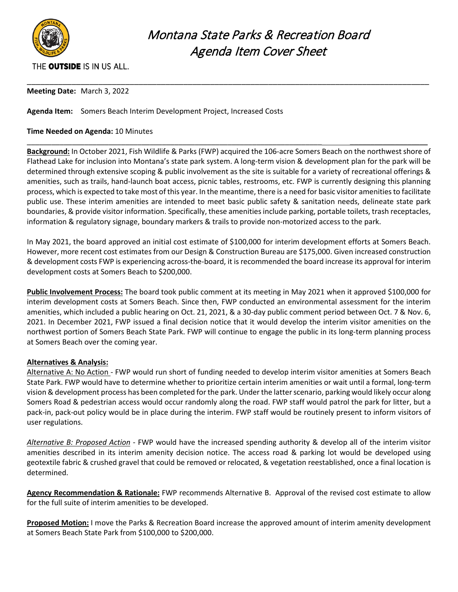

# Montana State Parks & Recreation Board Agenda Item Cover Sheet

### THE OUTSIDE IS IN US ALL.

**Meeting Date:** March 3, 2022

**Agenda Item:** Somers Beach Interim Development Project, Increased Costs

#### **Time Needed on Agenda:** 10 Minutes

**Background:** In October 2021, Fish Wildlife & Parks (FWP) acquired the 106-acre Somers Beach on the northwest shore of Flathead Lake for inclusion into Montana's state park system. A long-term vision & development plan for the park will be determined through extensive scoping & public involvement as the site is suitable for a variety of recreational offerings & amenities, such as trails, hand-launch boat access, picnic tables, restrooms, etc. FWP is currently designing this planning process, which is expected to take most of this year. In the meantime, there is a need for basic visitor amenities to facilitate public use. These interim amenities are intended to meet basic public safety & sanitation needs, delineate state park boundaries, & provide visitor information. Specifically, these amenities include parking, portable toilets, trash receptacles, information & regulatory signage, boundary markers & trails to provide non-motorized access to the park.

\_\_\_\_\_\_\_\_\_\_\_\_\_\_\_\_\_\_\_\_\_\_\_\_\_\_\_\_\_\_\_\_\_\_\_\_\_\_\_\_\_\_\_\_\_\_\_\_\_\_\_\_\_\_\_\_\_\_\_\_\_\_\_\_\_\_\_\_\_\_\_\_ \_\_\_\_\_\_\_\_\_\_\_\_\_\_\_\_\_\_\_

\_\_\_\_\_\_\_\_\_\_\_\_\_\_\_\_\_\_\_\_\_\_\_\_\_\_\_\_\_\_\_\_\_\_\_\_\_\_\_\_\_\_\_\_\_\_\_\_\_\_\_\_\_\_\_\_\_\_\_\_\_\_\_\_\_\_\_\_\_\_\_\_\_\_\_\_\_\_\_\_\_\_\_\_\_\_\_\_\_\_

In May 2021, the board approved an initial cost estimate of \$100,000 for interim development efforts at Somers Beach. However, more recent cost estimates from our Design & Construction Bureau are \$175,000. Given increased construction & development costs FWP is experiencing across-the-board, it is recommended the board increase its approval for interim development costs at Somers Beach to \$200,000.

**Public Involvement Process:** The board took public comment at its meeting in May 2021 when it approved \$100,000 for interim development costs at Somers Beach. Since then, FWP conducted an environmental assessment for the interim amenities, which included a public hearing on Oct. 21, 2021, & a 30-day public comment period between Oct. 7 & Nov. 6, 2021. In December 2021, FWP issued a final decision notice that it would develop the interim visitor amenities on the northwest portion of Somers Beach State Park. FWP will continue to engage the public in its long-term planning process at Somers Beach over the coming year.

#### **Alternatives & Analysis:**

Alternative A: No Action - FWP would run short of funding needed to develop interim visitor amenities at Somers Beach State Park. FWP would have to determine whether to prioritize certain interim amenities or wait until a formal, long-term vision & development process has been completed for the park. Under the latter scenario, parking would likely occur along Somers Road & pedestrian access would occur randomly along the road. FWP staff would patrol the park for litter, but a pack-in, pack-out policy would be in place during the interim. FWP staff would be routinely present to inform visitors of user regulations.

*Alternative B: Proposed Action* - FWP would have the increased spending authority & develop all of the interim visitor amenities described in its interim amenity decision notice. The access road & parking lot would be developed using geotextile fabric & crushed gravel that could be removed or relocated, & vegetation reestablished, once a final location is determined.

**Agency Recommendation & Rationale:** FWP recommends Alternative B. Approval of the revised cost estimate to allow for the full suite of interim amenities to be developed.

**Proposed Motion:** I move the Parks & Recreation Board increase the approved amount of interim amenity development at Somers Beach State Park from \$100,000 to \$200,000.